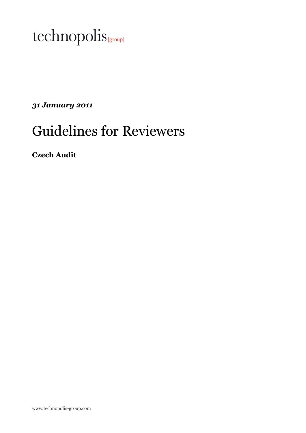

31 January 2011

# Guidelines for Reviewers

Czech Audit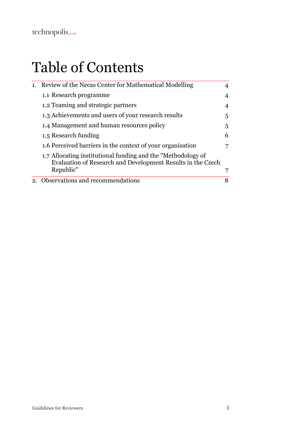# Table of Contents

| 1. | Review of the Necas Center for Mathematical Modelling                                                                       |   |
|----|-----------------------------------------------------------------------------------------------------------------------------|---|
|    | 1.1 Research programme                                                                                                      |   |
|    | 1.2 Teaming and strategic partners                                                                                          |   |
|    | 1.3 Achievements and users of your research results                                                                         | 5 |
|    | 1.4 Management and human resources policy                                                                                   | 5 |
|    | 1.5 Research funding                                                                                                        | 6 |
|    | 1.6 Perceived barriers in the context of your organisation                                                                  |   |
|    | 1.7 Allocating institutional funding and the "Methodology of<br>Evaluation of Research and Development Results in the Czech |   |
|    | Republic"                                                                                                                   |   |
|    | 2. Observations and recommendations                                                                                         | 8 |
|    |                                                                                                                             |   |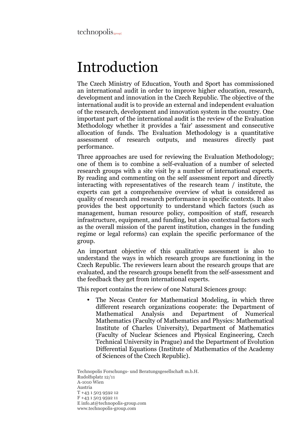# Introduction

The Czech Ministry of Education, Youth and Sport has commissioned an international audit in order to improve higher education, research, development and innovation in the Czech Republic. The objective of the international audit is to provide an external and independent evaluation of the research, development and innovation system in the country. One important part of the international audit is the review of the Evaluation Methodology whether it provides a 'fair' assessment and consecutive allocation of funds. The Evaluation Methodology is a quantitative assessment of research outputs, and measures directly past performance.

Three approaches are used for reviewing the Evaluation Methodology; one of them is to combine a self-evaluation of a number of selected research groups with a site visit by a number of international experts. By reading and commenting on the self assessment report and directly interacting with representatives of the research team / institute, the experts can get a comprehensive overview of what is considered as quality of research and research performance in specific contexts. It also provides the best opportunity to understand which factors (such as management, human resource policy, composition of staff, research infrastructure, equipment, and funding, but also contextual factors such as the overall mission of the parent institution, changes in the funding regime or legal reforms) can explain the specific performance of the group.

An important objective of this qualitative assessment is also to understand the ways in which research groups are functioning in the Czech Republic. The reviewers learn about the research groups that are evaluated, and the research groups benefit from the self-assessment and the feedback they get from international experts.

This report contains the review of one Natural Sciences group:

• The Necas Center for Mathematical Modeling, in which three different research organizations cooperate: the Department of Mathematical Analysis and Department of Numerical Mathematics (Faculty of Mathematics and Physics: Mathematical Institute of Charles University), Department of Mathematics (Faculty of Nuclear Sciences and Physical Engineering, Czech Technical University in Prague) and the Department of Evolution Differential Equations (Institute of Mathematics of the Academy of Sciences of the Czech Republic).

Technopolis Forschungs- und Beratungsgesellschaft m.b.H. Rudolfsplatz 12/11 A-1010 Wien Austria T +43 1 503 9592 12 F +43 1 503 9592 11 E info.at@technopolis-group.com www.technopolis-group.com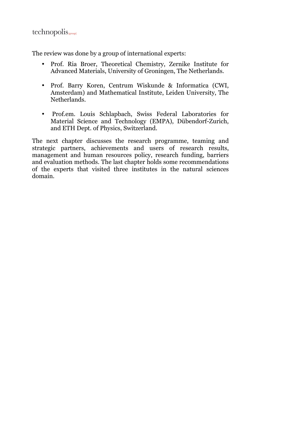$technopolis_{\text{group}}$ 

The review was done by a group of international experts:

- Prof. Ria Broer, Theoretical Chemistry, Zernike Institute for Advanced Materials, University of Groningen, The Netherlands.
- Prof. Barry Koren, Centrum Wiskunde & Informatica (CWI, Amsterdam) and Mathematical Institute, Leiden University, The Netherlands.
- Prof.em. Louis Schlapbach, Swiss Federal Laboratories for Material Science and Technology (EMPA), Dübendorf-Zurich, and ETH Dept. of Physics, Switzerland.

The next chapter discusses the research programme, teaming and strategic partners, achievements and users of research results, management and human resources policy, research funding, barriers and evaluation methods. The last chapter holds some recommendations of the experts that visited three institutes in the natural sciences domain.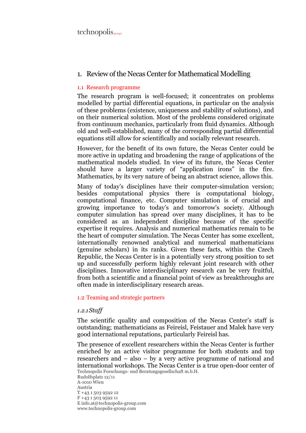$technopolis_{\text{group}}$ 

### 1. Review of the Necas Center for Mathematical Modelling

#### 1.1 Research programme

The research program is well-focused; it concentrates on problems modelled by partial differential equations, in particular on the analysis of these problems (existence, uniqueness and stability of solutions), and on their numerical solution. Most of the problems considered originate from continuum mechanics, particularly from fluid dynamics. Although old and well-established, many of the corresponding partial differential equations still allow for scientifically and socially relevant research.

However, for the benefit of its own future, the Necas Center could be more active in updating and broadening the range of applications of the mathematical models studied. In view of its future, the Necas Center should have a larger variety of "application irons" in the fire. Mathematics, by its very nature of being an abstract science, allows this.

Many of today's disciplines have their computer-simulation version; besides computational physics there is computational biology, computational finance, etc. Computer simulation is of crucial and growing importance to today's and tomorrow's society. Although computer simulation has spread over many disciplines, it has to be considered as an independent discipline because of the specific expertise it requires. Analysis and numerical mathematics remain to be the heart of computer simulation. The Necas Center has some excellent, internationally renowned analytical and numerical mathematicians (genuine scholars) in its ranks. Given these facts, within the Czech Republic, the Necas Center is in a potentially very strong position to set up and successfully perform highly relevant joint research with other disciplines. Innovative interdisciplinary research can be very fruitful, from both a scientific and a financial point of view as breakthroughs are often made in interdisciplinary research areas.

#### 1.2 Teaming and strategic partners

#### 1.2.1Staff

The scientific quality and composition of the Necas Center's staff is outstanding; mathematicians as Feireisl, Feistauer and Malek have very good international reputations, particularly Feireisl has.

Technopolis Forschungs- und Beratungsgesellschaft m.b.H. The presence of excellent researchers within the Necas Center is further enriched by an active visitor programme for both students and top researchers and – also – by a very active programme of national and international workshops. The Necas Center is a true open-door center of

Rudolfsplatz 12/11 A-1010 Wien Austria T +43 1 503 9592 12 F +43 1 503 9592 11 E info.at@technopolis-group.com www.technopolis-group.com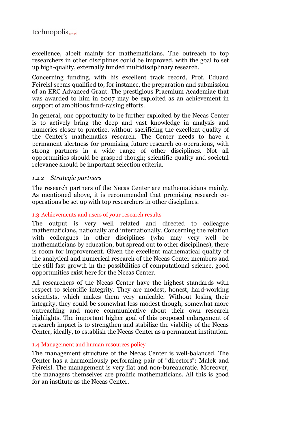excellence, albeit mainly for mathematicians. The outreach to top researchers in other disciplines could be improved, with the goal to set up high-quality, externally funded multidisciplinary research.

Concerning funding, with his excellent track record, Prof. Eduard Feireisl seems qualified to, for instance, the preparation and submission of an ERC Advanced Grant. The prestigious Praemium Academiae that was awarded to him in 2007 may be exploited as an achievement in support of ambitious fund-raising efforts.

In general, one opportunity to be further exploited by the Necas Center is to actively bring the deep and vast knowledge in analysis and numerics closer to practice, without sacrificing the excellent quality of the Center's mathematics research. The Center needs to have a permanent alertness for promising future research co-operations, with strong partners in a wide range of other disciplines. Not all opportunities should be grasped though; scientific quality and societal relevance should be important selection criteria.

## 1.2.2 Strategic partners

The research partners of the Necas Center are mathematicians mainly. As mentioned above, it is recommended that promising research cooperations be set up with top researchers in other disciplines.

#### 1.3 Achievements and users of your research results

The output is very well related and directed to colleague mathematicians, nationally and internationally. Concerning the relation with colleagues in other disciplines (who may very well be mathematicians by education, but spread out to other disciplines), there is room for improvement. Given the excellent mathematical quality of the analytical and numerical research of the Necas Center members and the still fast growth in the possibilities of computational science, good opportunities exist here for the Necas Center.

All researchers of the Necas Center have the highest standards with respect to scientific integrity. They are modest, honest, hard-working scientists, which makes them very amicable. Without losing their integrity, they could be somewhat less modest though, somewhat more outreaching and more communicative about their own research highlights. The important higher goal of this proposed enlargement of research impact is to strengthen and stabilize the viability of the Necas Center, ideally, to establish the Necas Center as a permanent institution.

#### 1.4 Management and human resources policy

The management structure of the Necas Center is well-balanced. The Center has a harmoniously performing pair of "directors": Malek and Feireisl. The management is very flat and non-bureaucratic. Moreover, the managers themselves are prolific mathematicians. All this is good for an institute as the Necas Center.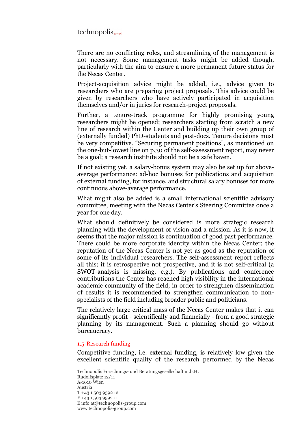$technopolis_{\text{group}}$ 

There are no conflicting roles, and streamlining of the management is not necessary. Some management tasks might be added though, particularly with the aim to ensure a more permanent future status for the Necas Center.

Project-acquisition advice might be added, i.e., advice given to researchers who are preparing project proposals. This advice could be given by researchers who have actively participated in acquisition themselves and/or in juries for research-project proposals.

Further, a tenure-track programme for highly promising young researchers might be opened; researchers starting from scratch a new line of research within the Center and building up their own group of (externally funded) PhD-students and post-docs. Tenure decisions must be very competitive. "Securing permanent positions", as mentioned on the one-but-lowest line on p.30 of the self-assessment report, may never be a goal; a research institute should not be a safe haven.

If not existing yet, a salary-bonus system may also be set up for aboveaverage performance: ad-hoc bonuses for publications and acquisition of external funding, for instance, and structural salary bonuses for more continuous above-average performance.

What might also be added is a small international scientific advisory committee, meeting with the Necas Center's Steering Committee once a year for one day.

What should definitively be considered is more strategic research planning with the development of vision and a mission. As it is now, it seems that the major mission is continuation of good past performance. There could be more corporate identity within the Necas Center; the reputation of the Necas Center is not yet as good as the reputation of some of its individual researchers. The self-assessment report reflects all this; it is retrospective not prospective, and it is not self-critical (a SWOT-analysis is missing, e.g.). By publications and conference contributions the Center has reached high visibility in the international academic community of the field; in order to strengthen dissemination of results it is recommended to strengthen communication to nonspecialists of the field including broader public and politicians.

The relatively large critical mass of the Necas Center makes that it can significantly profit - scientifically and financially - from a good strategic planning by its management. Such a planning should go without bureaucracy.

#### 1.5 Research funding

Competitive funding, i.e. external funding, is relatively low given the excellent scientific quality of the research performed by the Necas

Technopolis Forschungs- und Beratungsgesellschaft m.b.H. Rudolfsplatz 12/11 A-1010 Wien Austria T +43 1 503 9592 12 F +43 1 503 9592 11 E info.at@technopolis-group.com www.technopolis-group.com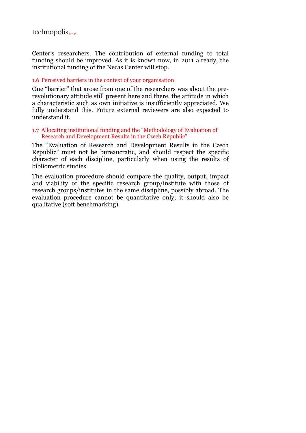Center's researchers. The contribution of external funding to total funding should be improved. As it is known now, in 2011 already, the institutional funding of the Necas Center will stop.

### 1.6 Perceived barriers in the context of your organisation

One "barrier" that arose from one of the researchers was about the prerevolutionary attitude still present here and there, the attitude in which a characteristic such as own initiative is insufficiently appreciated. We fully understand this. Future external reviewers are also expected to understand it.

#### 1.7 Allocating institutional funding and the "Methodology of Evaluation of Research and Development Results in the Czech Republic"

The "Evaluation of Research and Development Results in the Czech Republic" must not be bureaucratic, and should respect the specific character of each discipline, particularly when using the results of bibliometric studies.

The evaluation procedure should compare the quality, output, impact and viability of the specific research group/institute with those of research groups/institutes in the same discipline, possibly abroad. The evaluation procedure cannot be quantitative only; it should also be qualitative (soft benchmarking).